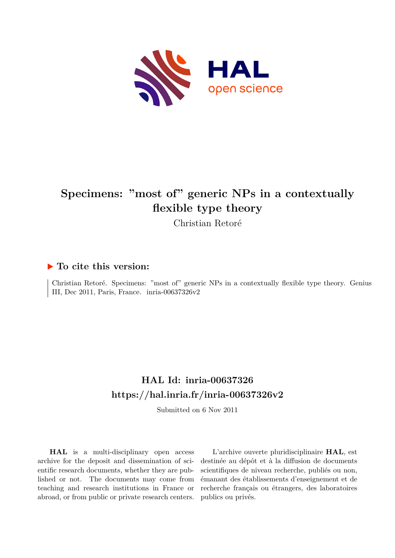

# **Specimens: "most of" generic NPs in a contextually flexible type theory**

Christian Retoré

### **To cite this version:**

Christian Retoré. Specimens: "most of" generic NPs in a contextually flexible type theory. Genius III, Dec 2011, Paris, France. inria-00637326v2

### **HAL Id: inria-00637326 <https://hal.inria.fr/inria-00637326v2>**

Submitted on 6 Nov 2011

**HAL** is a multi-disciplinary open access archive for the deposit and dissemination of scientific research documents, whether they are published or not. The documents may come from teaching and research institutions in France or abroad, or from public or private research centers.

L'archive ouverte pluridisciplinaire **HAL**, est destinée au dépôt et à la diffusion de documents scientifiques de niveau recherche, publiés ou non, émanant des établissements d'enseignement et de recherche français ou étrangers, des laboratoires publics ou privés.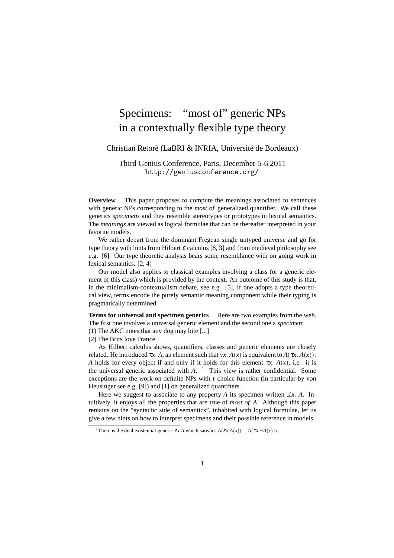## Specimens: "most of" generic NPs in a contextually flexible type theory

#### Christian Retoré (LaBRI & INRIA, Université de Bordeaux)

Third Genius Conference, Paris, December 5-6 2011 http://geniusconference.org/

**Overview** This paper proposes to compute the meanings associated to sentences with generic NPs corresponding to the *most of* generalized quantifier. We call these generics *specimens* and they resemble stereotypes or prototypes in lexical semantics. The *meanings* are viewed as logical formulae that can be thereafter interpreted in your favorite models.

We rather depart from the dominant Fregean single untyped universe and go for type theory with hints from Hilbert  $\varepsilon$  calculus [8, 3] and from medieval philosophy see e.g. [6]. Our type theoretic analysis bears some resemblance with on going work in lexical semantics. [2, 4]

Our model also applies to classical examples involving a class (or a generic element of this class) which is provided by the context. An outcome of this study is that, in the minimalism-contextualism debate, see e.g. [5], if one adopts a type theoretical view, terms encode the purely semantic meaning component while their typing is pragmatically determined.

**Terms for universal and specimen generics** Here are two examples from the web. The first one involves a universal generic element and the second one a *specimen*:

(1) The AKC notes that any dog may bite [...]

(2) The Brits love France.

As Hilbert calculus shows, quantifiers, classes and generic elements are closely related. He introduced  $\tau x$ . *A*, an element such that  $\forall x$ . *A*(*x*) is equivalent to *A*( $\tau x$ . *A*(*x*)): *A* holds for every object if and only if it holds for this element  $\tau x$ .  $A(x)$ , i.e. it is the universal generic associated with *A*. <sup>1</sup> This view is rather confidential. Some exceptions are the work on definite NPs with *t* choice function (in particular by von Heusinger see e.g. [9]) and [1] on generalized quantifiers.

Here we suggest to associate to any property *A* its specimen written  $\angle x$ . *A*. Intuitively, it enjoys all the properties that are true of *most of A*. Although this paper remains on the "syntactic side of semantics", inhabited with logical formulae, let us give a few hints on how to interpret specimens and their possible reference in models.

<sup>&</sup>lt;sup>1</sup>There is the dual existential generic  $\varepsilon x \cdot A$  which satisfies  $A(\varepsilon x \cdot A(x)) \equiv A(\tau x \cdot \neg A(x))$ .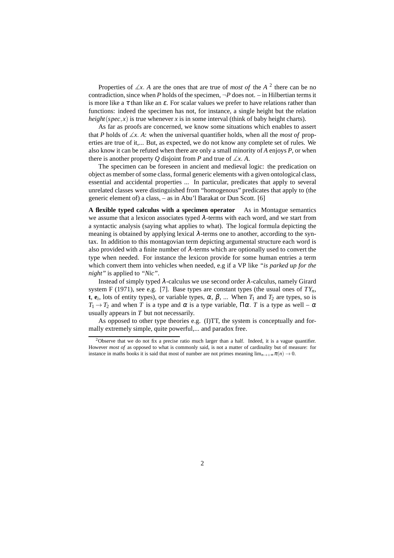Properties of ∡*x*. *A* are the ones that are true of *most of* the *A* 2 there can be no contradiction, since when *P* holds of the specimen,  $\neg P$  does not. – in Hilbertian terms it is more like a  $\tau$  than like an  $\varepsilon$ . For scalar values we prefer to have relations rather than functions: indeed the specimen has not, for instance, a single height but the relation *height*( $spec, x$ ) is true whenever *x* is in some interval (think of baby height charts).

As far as proofs are concerned, we know some situations which enables to assert that *P* holds of  $\angle x$ . *A*: when the universal quantifier holds, when all the *most of* properties are true of it,... But, as expected, we do not know any complete set of rules. We also know it can be refuted when there are only a small minority of *A* enjoys *P*, or when there is another property *Q* disjoint from *P* and true of  $\angle x$ . *A*.

The specimen can be foreseen in ancient and medieval logic: the predication on object as member of some class, formal generic elements with a given ontological class, essential and accidental properties ... In particular, predicates that apply to several unrelated classes were distinguished from "homogenous" predicates that apply to (the generic element of) a class, – as in Abu'l Barakat or Dun Scott. [6]

**A flexible typed calculus with a specimen operator** As in Montague semantics we assume that a lexicon associates typed  $\lambda$ -terms with each word, and we start from a syntactic analysis (saying what applies to what). The logical formula depicting the meaning is obtained by applying lexical  $\lambda$ -terms one to another, according to the syntax. In addition to this montagovian term depicting argumental structure each word is also provided with a finite number of  $\lambda$ -terms which are optionally used to convert the type when needed. For instance the lexicon provide for some human entries a term which convert them into vehicles when needed, e.g if a VP like *"is parked up for the night"* is applied to *"Nic"*.

Instead of simply typed  $\lambda$ -calculus we use second order  $\lambda$ -calculus, namely Girard system F (1971), see e.g. [7]. Base types are constant types (the usual ones of  $TY_n$ , **t**,  $e_i$ , lots of entity types), or variable types,  $\alpha$ ,  $\beta$ , ... When  $T_1$  and  $T_2$  are types, so is  $T_1 \rightarrow T_2$  and when *T* is a type and  $\alpha$  is a type variable,  $\Pi \alpha$ . *T* is a type as well –  $\alpha$ usually appears in *T* but not necessarily.

As opposed to other type theories e.g. (I)TT, the system is conceptually and formally extremely simple, quite powerful,... and paradox free.

<sup>&</sup>lt;sup>2</sup>Observe that we do not fix a precise ratio much larger than a half. Indeed, it is a vague quantifier. However *most of* as opposed to what is commonly said, is not a matter of cardinality but of measure: for instance in maths books it is said that most of number are not primes meaning  $\lim_{n\to+\infty} \pi(n) \to 0$ .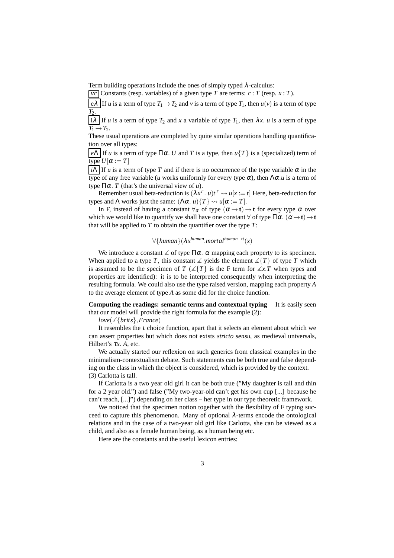Term building operations include the ones of simply typed  $\lambda$ -calculus:

*vc* Constants (resp. variables) of a given type *T* are terms:  $c : T$  (resp.  $x : T$ ).

 $e\lambda$  If *u* is a term of type  $T_1 \rightarrow T_2$  and *v* is a term of type  $T_1$ , then  $u(v)$  is a term of type *T*2.

 $i\lambda$  If *u* is a term of type  $T_2$  and *x* a variable of type  $T_1$ , then  $\lambda x$ . *u* is a term of type  $T_1 \rightarrow T_2$ .

These usual operations are completed by quite similar operations handling quantification over all types:

 $|eΛ|$  If *u* is a term of type Πα. *U* and *T* is a type, then  $u$ {*T*} is a (specialized) term of  $\overline{\text{type}} U[\alpha := T]$ 

 $\overline{i\Lambda}$  If *u* is a term of type *T* and if there is no occurrence of the type variable  $\alpha$  in the type of any free variable (*u* works uniformly for every type <sup>α</sup>), then Λα.*u* is a term of type  $\Pi \alpha$ . *T* (that's the universal view of *u*).

Remember usual beta-reduction is  $(\lambda x^T, u)t^T \leadsto u[x := t]$  Here, beta-reduction for types and  $\Lambda$  works just the same:  $(\Lambda \alpha. u)$  $\{T\} \rightsquigarrow u[\alpha := T]$ .

In F, instead of having a constant  $\forall \alpha$  of type  $(\alpha \rightarrow t) \rightarrow t$  for every type  $\alpha$  over which we would like to quantify we shall have one constant  $\forall$  of type  $\Pi \alpha$ .  $(\alpha \rightarrow t) \rightarrow t$ that will be applied to *T* to obtain the quantifier over the type *T*:

∀{*human*}(λ*x human* .*mortalhuman*→**<sup>t</sup>** (*x*)

We introduce a constant  $\angle$  of type  $\Pi \alpha$ .  $\alpha$  mapping each property to its specimen. When applied to a type *T*, this constant  $\angle$  yields the element  $\angle$ {*T*} of type *T* which is assumed to be the specimen of *T* ( $\angle$ {*T*} is the F term for  $\angle x$ *x*.*T* when types and properties are identified): it is to be interpreted consequently when interpreting the resulting formula. We could also use the type raised version, mapping each property *A* to the average element of type *A* as some did for the choice function.

**Computing the readings: semantic terms and contextual typing** It is easily seen that our model will provide the right formula for the example (2):

*love*(∡{*brits*},*France*)

It resembles the  $\iota$  choice function, apart that it selects an element about which we can assert properties but which does not exists stricto sensu, as medieval universals, Hilbert's <sup>τ</sup>*x*. *A*, etc.

We actually started our reflexion on such generics from classical examples in the minimalism-contextualism debate. Such statements can be both true and false depending on the class in which the object is considered, which is provided by the context. (3) Carlotta is tall.

If Carlotta is a two year old girl it can be both true ("My daughter is tall and thin for a 2 year old.") and false ("My two-year-old can't get his own cup [...] because he can't reach, [...]") depending on her class – her type in our type theoretic framework.

We noticed that the specimen notion together with the flexibility of F typing succeed to capture this phenomenon. Many of optional  $\lambda$ -terms encode the ontological relations and in the case of a two-year old girl like Carlotta, she can be viewed as a child, and also as a female human being, as a human being etc.

Here are the constants and the useful lexicon entries: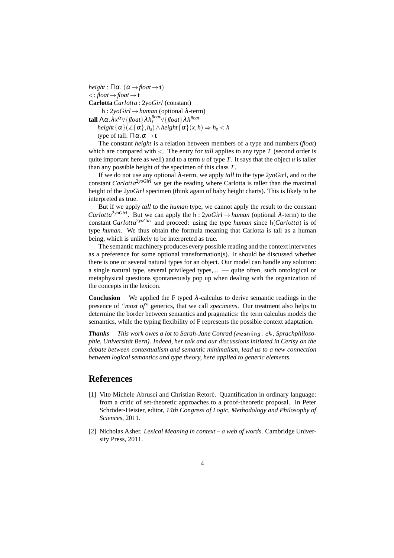$height : \Pi \alpha$ . ( $\alpha \rightarrow float \rightarrow t$ )  $\langle :$ *float* $\rightarrow$ *float* $\rightarrow$ **t Carlotta** *Carlotta* : 2*yoGirl* (constant) h : 2*yoGirl* →*human* (optional <sup>λ</sup>-term) **tall**  $\Lambda \alpha$  . $\lambda x^{\alpha} \forall \{float\} \lambda h^{float}_{s} \forall \{float\} \lambda h^{float}$ 

 $height\{\alpha\}(\angle{\{\alpha\},h_s) \land height\{\alpha\}(x,h) \Rightarrow h_s < h$ type of tall:  $\Pi \alpha \cdot \alpha \rightarrow t$ 

The constant *height* is a relation between members of a type and numbers (*float*) which are compared with  $\lt$ . The entry for *tall* applies to any type *T* (second order is quite important here as well) and to a term  $u$  of type  $T$ . It says that the object  $u$  is taller than any possible height of the specimen of this class *T*.

If we do not use any optional λ-term, we apply *tall* to the type 2*yoGirl*, and to the constant *Carlotta*2*yoGirl* we get the reading where Carlotta is taller than the maximal height of the 2*yoGirl* specimen (think again of baby height charts). This is likely to be interpreted as true.

But if we apply *tall* to the *human* type, we cannot apply the result to the constant *Carlotta*<sup>2*yoGirl*. But we can apply the h : 2*yoGirl*  $\rightarrow$  *human* (optional  $\lambda$ -term) to the</sup> constant *Carlotta*2*yoGirl* and proceed: using the type *human* since h(*Carlotta*) is of type *human*. We thus obtain the formula meaning that Carlotta is tall as a human being, which is unlikely to be interpreted as true.

The semantic machinery produces every possible reading and the context intervenes as a preference for some optional transformation(s). It should be discussed whether there is one or several natural types for an object. Our model can handle any solution: a single natural type, several privileged types,... — quite often, such ontological or metaphysical questions spontaneously pop up when dealing with the organization of the concepts in the lexicon.

**Conclusion** We applied the F typed  $\lambda$ -calculus to derive semantic readings in the presence of *"most of"* generics, that we call *specimens*. Our treatment also helps to determine the border between semantics and pragmatics: the term calculus models the semantics, while the typing flexibility of F represents the possible context adaptation.

*Thanks This work owes a lot to Sarah-Jane Conrad (*meaning. ch *, Sprachphilosophie, Universität Bern). Indeed, her talk and our discussions initiated in Cerisy on the debate between contextualism and semantic minimalism, lead us to a new connection between logical semantics and type theory, here applied to generic elements.*

#### **References**

- [1] Vito Michele Abrusci and Christian Retoré. Quantification in ordinary language: from a critic of set-theoretic approaches to a proof-theoretic proposal. In Peter Schröder-Heister, editor, 14th Congress of Logic, Methodology and Philosophy of *Sciences*, 2011.
- [2] Nicholas Asher. *Lexical Meaning in context a web of words*. Cambridge University Press, 2011.